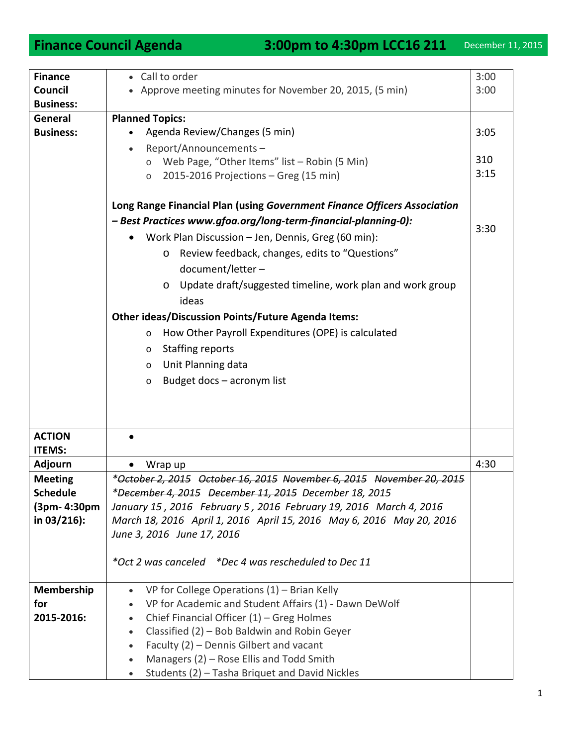| <b>Finance</b>   | • Call to order                                                          | 3:00 |
|------------------|--------------------------------------------------------------------------|------|
| Council          | • Approve meeting minutes for November 20, 2015, (5 min)                 | 3:00 |
| <b>Business:</b> |                                                                          |      |
| General          | <b>Planned Topics:</b>                                                   |      |
| <b>Business:</b> | Agenda Review/Changes (5 min)                                            | 3:05 |
|                  | Report/Announcements-                                                    |      |
|                  | Web Page, "Other Items" list - Robin (5 Min)<br>$\circ$                  | 310  |
|                  | 2015-2016 Projections - Greg (15 min)<br>$\circ$                         | 3:15 |
|                  |                                                                          |      |
|                  | Long Range Financial Plan (using Government Finance Officers Association |      |
|                  | - Best Practices www.gfoa.org/long-term-financial-planning-0):           |      |
|                  | Work Plan Discussion - Jen, Dennis, Greg (60 min):                       | 3:30 |
|                  |                                                                          |      |
|                  | Review feedback, changes, edits to "Questions"<br>$\circ$                |      |
|                  | document/letter-                                                         |      |
|                  | Update draft/suggested timeline, work plan and work group<br>$\circ$     |      |
|                  | ideas                                                                    |      |
|                  | <b>Other ideas/Discussion Points/Future Agenda Items:</b>                |      |
|                  | How Other Payroll Expenditures (OPE) is calculated<br>$\circ$            |      |
|                  | <b>Staffing reports</b>                                                  |      |
|                  | $\circ$                                                                  |      |
|                  | Unit Planning data<br>$\circ$                                            |      |
|                  | Budget docs - acronym list<br>$\circ$                                    |      |
|                  |                                                                          |      |
|                  |                                                                          |      |
|                  |                                                                          |      |
| <b>ACTION</b>    |                                                                          |      |
| <b>ITEMS:</b>    |                                                                          |      |
| <b>Adjourn</b>   | Wrap up                                                                  | 4:30 |
| <b>Meeting</b>   | *October 2, 2015 October 16, 2015 November 6, 2015 November 20, 2015     |      |
| <b>Schedule</b>  | *December 4, 2015 December 11, 2015 December 18, 2015                    |      |
| (3pm- 4:30pm     | January 15, 2016 February 5, 2016 February 19, 2016 March 4, 2016        |      |
| in $03/216$ :    | March 18, 2016 April 1, 2016 April 15, 2016 May 6, 2016 May 20, 2016     |      |
|                  | June 3, 2016 June 17, 2016                                               |      |
|                  |                                                                          |      |
|                  | *Oct 2 was canceled *Dec 4 was rescheduled to Dec 11                     |      |
|                  |                                                                          |      |
| Membership       | VP for College Operations $(1)$ – Brian Kelly<br>$\bullet$               |      |
| for              | VP for Academic and Student Affairs (1) - Dawn DeWolf<br>$\bullet$       |      |
| 2015-2016:       | Chief Financial Officer $(1)$ – Greg Holmes<br>$\bullet$                 |      |
|                  | Classified (2) - Bob Baldwin and Robin Geyer<br>$\bullet$                |      |
|                  | Faculty (2) - Dennis Gilbert and vacant<br>$\bullet$                     |      |
|                  | Managers (2) - Rose Ellis and Todd Smith                                 |      |
|                  | Students (2) - Tasha Briquet and David Nickles                           |      |
|                  |                                                                          |      |